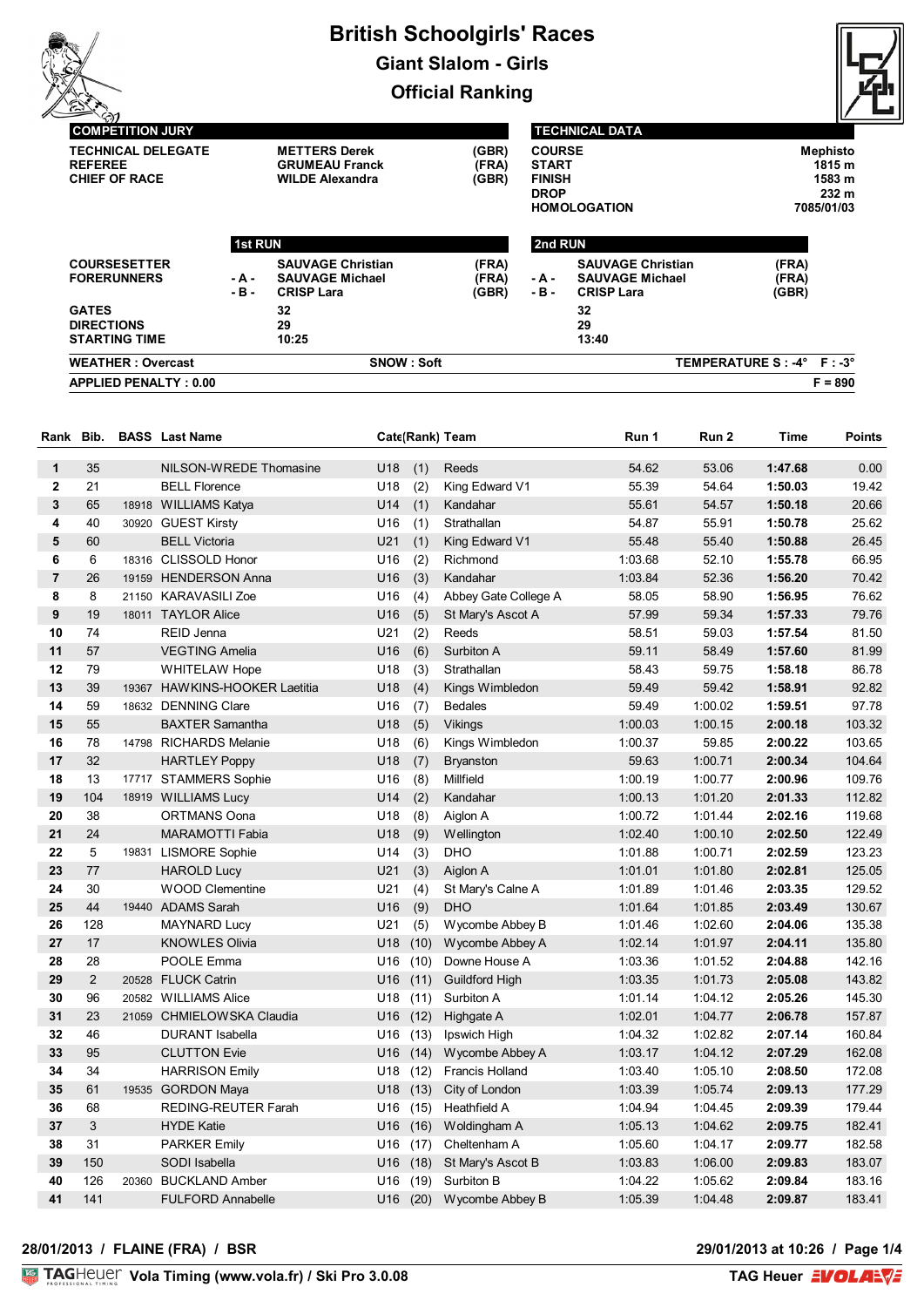



#### **COMPETITION JURY TECHNICAL DELEGATE METTERS Derek (GBR) REFEREE GRUMEAU Franck (FRA) CHIEF OF RACE**

### **TECHNICAL DATA**

| <b>METTERS Derek</b>   | (GBR) | <b>COURSE</b>       | Mephisto   |
|------------------------|-------|---------------------|------------|
| <b>GRUMEAU Franck</b>  | (FRA) | <b>START</b>        | 1815 m     |
| <b>WILDE Alexandra</b> | (GBR) | <b>FINISH</b>       | 1583 m     |
|                        |       | <b>DROP</b>         | 232 m      |
|                        |       | <b>HOMOLOGATION</b> | 7085/01/03 |

|                                                           | <b>1st RUN</b> |                                                                         |                         |                 | 2nd RUN                                                                 |                             |  |  |
|-----------------------------------------------------------|----------------|-------------------------------------------------------------------------|-------------------------|-----------------|-------------------------------------------------------------------------|-----------------------------|--|--|
| <b>COURSESETTER</b><br><b>FORERUNNERS</b>                 | - A -<br>-в-   | <b>SAUVAGE Christian</b><br><b>SAUVAGE Michael</b><br><b>CRISP Lara</b> | (FRA)<br>(FRA)<br>(GBR) | - A -<br>$-B -$ | <b>SAUVAGE Christian</b><br><b>SAUVAGE Michael</b><br><b>CRISP Lara</b> | (FRA)<br>(FRA)<br>(GBR)     |  |  |
| <b>GATES</b><br><b>DIRECTIONS</b><br><b>STARTING TIME</b> |                | 32<br>29<br>10:25                                                       |                         |                 | 32<br>29<br>13:40                                                       |                             |  |  |
| <b>WEATHER: Overcast</b>                                  |                | <b>SNOW: Soft</b>                                                       |                         |                 |                                                                         | TEMPERATURE S : -4° F : -3° |  |  |
| <b>APPLIED PENALTY: 0.00</b>                              |                |                                                                         |                         |                 |                                                                         | $F = 890$                   |  |  |

| Rank           | Bib.           |       | <b>BASS</b> Last Name         |          |      | Cate(Rank) Team        | Run 1   | Run <sub>2</sub> | <b>Time</b> | <b>Points</b> |
|----------------|----------------|-------|-------------------------------|----------|------|------------------------|---------|------------------|-------------|---------------|
| $\mathbf{1}$   | 35             |       | NILSON-WREDE Thomasine        | U18      | (1)  | Reeds                  | 54.62   | 53.06            | 1:47.68     | 0.00          |
| $\mathbf{2}$   | 21             |       | <b>BELL Florence</b>          | U18      | (2)  | King Edward V1         | 55.39   | 54.64            | 1:50.03     | 19.42         |
| 3              | 65             |       | 18918 WILLIAMS Katya          | U14      | (1)  | Kandahar               | 55.61   | 54.57            | 1:50.18     | 20.66         |
| 4              | 40             |       | 30920 GUEST Kirsty            | U16      | (1)  | Strathallan            | 54.87   | 55.91            | 1:50.78     | 25.62         |
| 5              | 60             |       | <b>BELL Victoria</b>          | U21      | (1)  | King Edward V1         | 55.48   | 55.40            | 1:50.88     | 26.45         |
| 6              | 6              |       | 18316 CLISSOLD Honor          | U16      | (2)  | Richmond               | 1:03.68 | 52.10            | 1:55.78     | 66.95         |
| $\overline{7}$ | 26             |       | 19159 HENDERSON Anna          | U16      | (3)  | Kandahar               | 1:03.84 | 52.36            | 1:56.20     | 70.42         |
| 8              | 8              |       | 21150 KARAVASILI Zoe          | U16      | (4)  | Abbey Gate College A   | 58.05   | 58.90            | 1:56.95     | 76.62         |
| 9              | 19             |       | 18011 TAYLOR Alice            | U16      | (5)  | St Mary's Ascot A      | 57.99   | 59.34            | 1:57.33     | 79.76         |
| 10             | 74             |       | REID Jenna                    | U21      | (2)  | Reeds                  | 58.51   | 59.03            | 1:57.54     | 81.50         |
| 11             | 57             |       | <b>VEGTING Amelia</b>         | U16      | (6)  | Surbiton A             | 59.11   | 58.49            | 1:57.60     | 81.99         |
| 12             | 79             |       | <b>WHITELAW Hope</b>          | U18      | (3)  | Strathallan            | 58.43   | 59.75            | 1:58.18     | 86.78         |
| 13             | 39             |       | 19367 HAWKINS-HOOKER Laetitia | U18      | (4)  | Kings Wimbledon        | 59.49   | 59.42            | 1:58.91     | 92.82         |
| 14             | 59             |       | 18632 DENNING Clare           | U16      | (7)  | <b>Bedales</b>         | 59.49   | 1:00.02          | 1:59.51     | 97.78         |
| 15             | 55             |       | <b>BAXTER Samantha</b>        | U18      | (5)  | Vikings                | 1:00.03 | 1:00.15          | 2:00.18     | 103.32        |
| 16             | 78             |       | 14798 RICHARDS Melanie        | U18      | (6)  | Kings Wimbledon        | 1:00.37 | 59.85            | 2:00.22     | 103.65        |
| 17             | 32             |       | <b>HARTLEY Poppy</b>          | U18      | (7)  | <b>Bryanston</b>       | 59.63   | 1:00.71          | 2:00.34     | 104.64        |
| 18             | 13             |       | 17717 STAMMERS Sophie         | U16      | (8)  | Millfield              | 1:00.19 | 1:00.77          | 2:00.96     | 109.76        |
| 19             | 104            |       | 18919 WILLIAMS Lucy           | U14      | (2)  | Kandahar               | 1:00.13 | 1:01.20          | 2:01.33     | 112.82        |
| 20             | 38             |       | <b>ORTMANS Oona</b>           | U18      | (8)  | Aiglon A               | 1:00.72 | 1:01.44          | 2:02.16     | 119.68        |
| 21             | 24             |       | <b>MARAMOTTI Fabia</b>        | U18      | (9)  | Wellington             | 1:02.40 | 1:00.10          | 2:02.50     | 122.49        |
| 22             | 5              | 19831 | <b>LISMORE Sophie</b>         | U14      | (3)  | DHO                    | 1:01.88 | 1:00.71          | 2:02.59     | 123.23        |
| 23             | 77             |       | <b>HAROLD Lucy</b>            | U21      | (3)  | Aiglon A               | 1:01.01 | 1:01.80          | 2:02.81     | 125.05        |
| 24             | 30             |       | <b>WOOD Clementine</b>        | U21      | (4)  | St Mary's Calne A      | 1:01.89 | 1:01.46          | 2:03.35     | 129.52        |
| 25             | 44             |       | 19440 ADAMS Sarah             | U16      | (9)  | <b>DHO</b>             | 1:01.64 | 1:01.85          | 2:03.49     | 130.67        |
| 26             | 128            |       | <b>MAYNARD Lucy</b>           | U21      | (5)  | Wycombe Abbey B        | 1:01.46 | 1:02.60          | 2:04.06     | 135.38        |
| 27             | 17             |       | <b>KNOWLES Olivia</b>         | U18      | (10) | Wycombe Abbey A        | 1:02.14 | 1:01.97          | 2:04.11     | 135.80        |
| 28             | 28             |       | POOLE Emma                    | U16      | (10) | Downe House A          | 1:03.36 | 1:01.52          | 2:04.88     | 142.16        |
| 29             | $\overline{2}$ |       | 20528 FLUCK Catrin            | U16      | (11) | <b>Guildford High</b>  | 1:03.35 | 1:01.73          | 2:05.08     | 143.82        |
| 30             | 96             |       | 20582 WILLIAMS Alice          | U18      | (11) | Surbiton A             | 1:01.14 | 1:04.12          | 2:05.26     | 145.30        |
| 31             | 23             |       | 21059 CHMIELOWSKA Claudia     | U16      | (12) | Highgate A             | 1:02.01 | 1:04.77          | 2:06.78     | 157.87        |
| 32             | 46             |       | <b>DURANT Isabella</b>        | U16      | (13) | Ipswich High           | 1:04.32 | 1:02.82          | 2:07.14     | 160.84        |
| 33             | 95             |       | <b>CLUTTON Evie</b>           | U16      | (14) | Wycombe Abbey A        | 1:03.17 | 1:04.12          | 2:07.29     | 162.08        |
| 34             | 34             |       | <b>HARRISON Emily</b>         | U18      | (12) | <b>Francis Holland</b> | 1:03.40 | 1:05.10          | 2:08.50     | 172.08        |
| 35             | 61             |       | 19535 GORDON Maya             | U18      |      | (13) City of London    | 1:03.39 | 1:05.74          | 2:09.13     | 177.29        |
| 36             | 68             |       | <b>REDING-REUTER Farah</b>    | U16      | (15) | Heathfield A           | 1:04.94 | 1:04.45          | 2:09.39     | 179.44        |
| 37             | 3              |       | <b>HYDE Katie</b>             | U16      | (16) | Woldingham A           | 1:05.13 | 1:04.62          | 2:09.75     | 182.41        |
| 38             | 31             |       | <b>PARKER Emily</b>           | U16 (17) |      | Cheltenham A           | 1:05.60 | 1:04.17          | 2:09.77     | 182.58        |
| 39             | 150            |       | SODI Isabella                 | U16      |      | (18) St Mary's Ascot B | 1:03.83 | 1:06.00          | 2:09.83     | 183.07        |
| 40             | 126            | 20360 | <b>BUCKLAND Amber</b>         | U16      | (19) | Surbiton B             | 1:04.22 | 1:05.62          | 2:09.84     | 183.16        |
| 41             | 141            |       | <b>FULFORD Annabelle</b>      | U16      |      | (20) Wycombe Abbey B   | 1:05.39 | 1:04.48          | 2:09.87     | 183.41        |

#### **28/01/2013 / FLAINE (FRA) / BSR 29/01/2013 at 10:26 / Page 1/4**

29/01/2013 at 10:26 / Page 1/4<br>TAG Heuer **EVOLANE**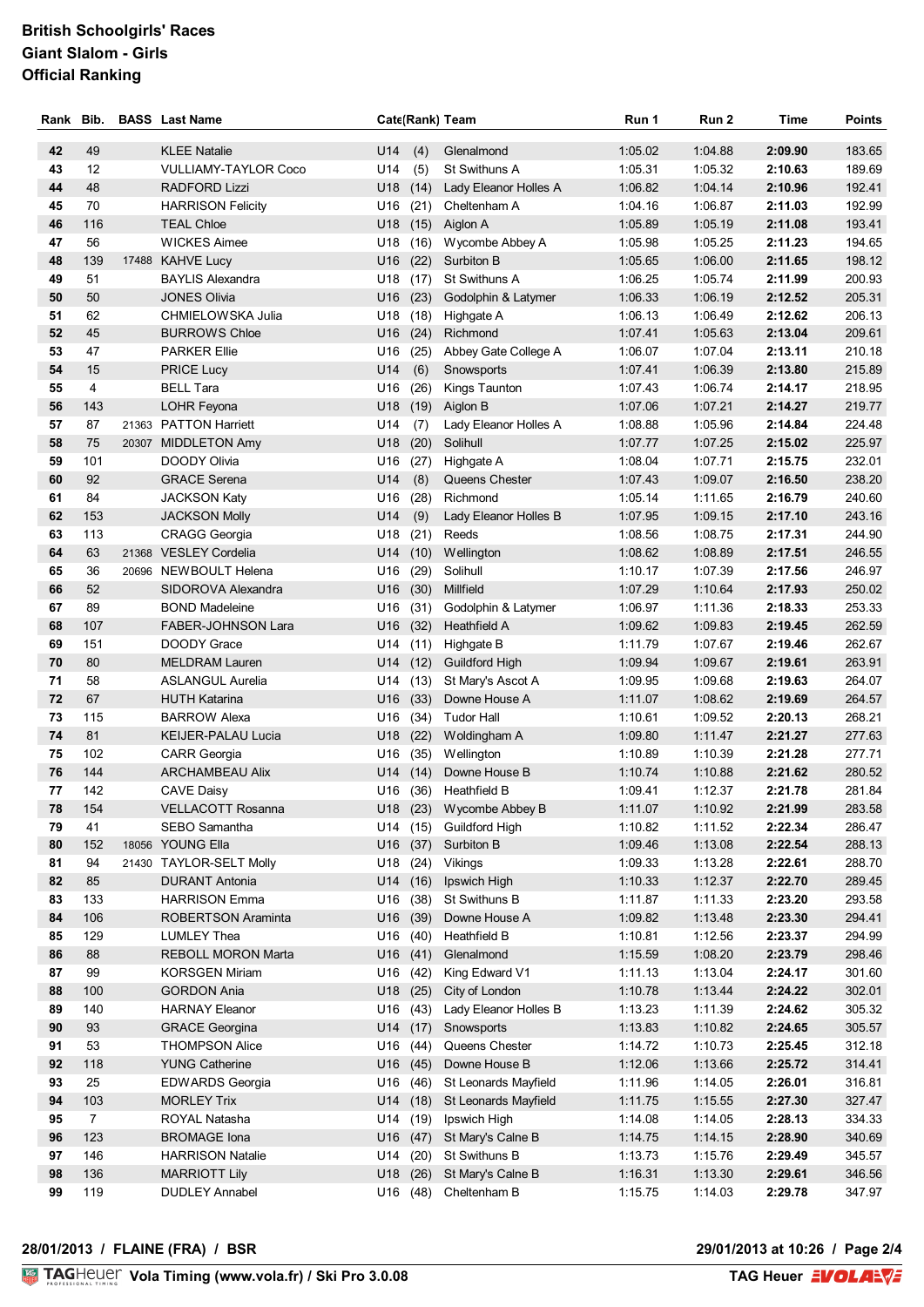| Rank Bib. |                | <b>BASS</b> Last Name                           | Cate(Rank) Team        |             |                                      | Run 1              | Run 2              | Time               | <b>Points</b>    |
|-----------|----------------|-------------------------------------------------|------------------------|-------------|--------------------------------------|--------------------|--------------------|--------------------|------------------|
| 42        | 49             | <b>KLEE Natalie</b>                             | U14                    | (4)         | Glenalmond                           | 1:05.02            | 1:04.88            | 2:09.90            | 183.65           |
| 43        | 12             | <b>VULLIAMY-TAYLOR Coco</b>                     | U14                    | (5)         | St Swithuns A                        | 1:05.31            | 1:05.32            | 2:10.63            | 189.69           |
| 44        | 48             | <b>RADFORD Lizzi</b>                            | U18                    | (14)        | Lady Eleanor Holles A                | 1:06.82            | 1:04.14            | 2:10.96            | 192.41           |
| 45        | 70             | <b>HARRISON Felicity</b>                        | U16                    | (21)        | Cheltenham A                         | 1:04.16            | 1:06.87            | 2:11.03            | 192.99           |
| 46        | 116            | <b>TEAL Chloe</b>                               | U18                    |             | $(15)$ Aiglon A                      | 1:05.89            | 1:05.19            | 2:11.08            | 193.41           |
| 47        | 56             | <b>WICKES Aimee</b>                             | U18                    | (16)        | Wycombe Abbey A                      | 1:05.98            | 1:05.25            | 2:11.23            | 194.65           |
| 48        | 139            | 17488 KAHVE Lucy                                | U16                    | (22)        | Surbiton B                           | 1:05.65            | 1:06.00            | 2:11.65            | 198.12           |
| 49        | 51             | <b>BAYLIS Alexandra</b>                         | U18                    | (17)        | St Swithuns A                        | 1:06.25            | 1:05.74            | 2:11.99            | 200.93           |
| 50        | 50             | <b>JONES Olivia</b>                             | U16                    | (23)        | Godolphin & Latymer                  | 1:06.33            | 1:06.19            | 2:12.52            | 205.31           |
| 51        | 62             | CHMIELOWSKA Julia                               | U18                    |             | (18) Highgate A                      | 1:06.13            | 1:06.49            | 2:12.62            | 206.13           |
| 52        | 45             | <b>BURROWS Chloe</b>                            | U16                    | (24)        | Richmond                             | 1:07.41            | 1:05.63            | 2:13.04            | 209.61           |
| 53        | 47             | <b>PARKER Ellie</b>                             | U16                    | (25)        | Abbey Gate College A                 | 1:06.07            | 1:07.04            | 2:13.11            | 210.18           |
| 54        | 15             | <b>PRICE Lucy</b>                               | U14                    | (6)         | Snowsports                           | 1:07.41            | 1:06.39            | 2:13.80            | 215.89           |
| 55        | 4              | <b>BELL Tara</b>                                | U16                    | (26)        | Kings Taunton                        | 1:07.43            | 1:06.74            | 2:14.17            | 218.95           |
| 56        | 143            | LOHR Feyona                                     | U18                    | (19)        | Aiglon B                             | 1:07.06            | 1:07.21            | 2:14.27            | 219.77           |
| 57        | 87             | 21363 PATTON Harriett                           | U14                    | (7)         | Lady Eleanor Holles A                | 1:08.88            | 1:05.96            | 2:14.84            | 224.48           |
| 58        | 75             | 20307 MIDDLETON Amy                             | U18                    | (20)        | Solihull                             | 1:07.77            | 1:07.25            | 2:15.02            | 225.97           |
| 59<br>60  | 101<br>92      | DOODY Olivia<br><b>GRACE Serena</b>             | U16<br>U14             | (27)        | Highgate A                           | 1:08.04<br>1:07.43 | 1:07.71<br>1:09.07 | 2:15.75<br>2:16.50 | 232.01<br>238.20 |
| 61        | 84             | <b>JACKSON Katy</b>                             | U16                    | (8)<br>(28) | Queens Chester<br>Richmond           | 1:05.14            | 1:11.65            | 2:16.79            | 240.60           |
| 62        | 153            | <b>JACKSON Molly</b>                            | U14                    | (9)         | Lady Eleanor Holles B                | 1:07.95            | 1:09.15            | 2:17.10            | 243.16           |
| 63        | 113            | <b>CRAGG Georgia</b>                            | U18                    | (21)        | Reeds                                | 1:08.56            | 1:08.75            | 2:17.31            | 244.90           |
| 64        | 63             | 21368 VESLEY Cordelia                           | U14                    | (10)        | Wellington                           | 1:08.62            | 1:08.89            | 2:17.51            | 246.55           |
| 65        | 36             | 20696 NEWBOULT Helena                           | U16                    | (29)        | Solihull                             | 1:10.17            | 1:07.39            | 2:17.56            | 246.97           |
| 66        | 52             | SIDOROVA Alexandra                              | U16                    | (30)        | Millfield                            | 1:07.29            | 1:10.64            | 2:17.93            | 250.02           |
| 67        | 89             | <b>BOND Madeleine</b>                           | U16                    | (31)        | Godolphin & Latymer                  | 1:06.97            | 1:11.36            | 2:18.33            | 253.33           |
| 68        | 107            | <b>FABER-JOHNSON Lara</b>                       | U16                    | (32)        | Heathfield A                         | 1:09.62            | 1:09.83            | 2:19.45            | 262.59           |
| 69        | 151            | DOODY Grace                                     | U14                    | (11)        | Highgate B                           | 1:11.79            | 1:07.67            | 2:19.46            | 262.67           |
| 70        | 80             | <b>MELDRAM Lauren</b>                           | U14                    | (12)        | <b>Guildford High</b>                | 1:09.94            | 1:09.67            | 2:19.61            | 263.91           |
| 71        | 58             | <b>ASLANGUL Aurelia</b>                         | U14                    | (13)        | St Mary's Ascot A                    | 1:09.95            | 1:09.68            | 2:19.63            | 264.07           |
| 72        | 67             | <b>HUTH Katarina</b>                            | (33)<br>U16            |             | Downe House A                        | 1:11.07            | 1:08.62            | 2:19.69            | 264.57           |
| 73        | 115            | <b>BARROW Alexa</b>                             | U16                    | (34)        | <b>Tudor Hall</b>                    | 1:10.61            | 1:09.52            | 2:20.13            | 268.21           |
| 74        | 81             | <b>KEIJER-PALAU Lucia</b>                       | U18                    | (22)        | Woldingham A                         | 1:09.80            | 1:11.47<br>1:10.39 | 2:21.27            | 277.63           |
| 75<br>76  | 102<br>144     | <b>CARR Georgia</b><br><b>ARCHAMBEAU Alix</b>   | U16                    | (35)        | Wellington<br>U14 (14) Downe House B | 1:10.89<br>1:10.74 | 1:10.88            | 2:21.28<br>2:21.62 | 277.71<br>280.52 |
| 77        | 142            | <b>CAVE Daisy</b>                               |                        |             | U16 (36) Heathfield B                | 1:09.41            | 1:12.37            | 2:21.78            | 281.84           |
| 78        | 154            | VELLACOTT Rosanna                               |                        |             | U18 (23) Wycombe Abbey B             | 1:11.07            | 1:10.92            | 2:21.99            | 283.58           |
| 79        | 41             | SEBO Samantha                                   |                        |             | U14 (15) Guildford High              | 1:10.82            | 1:11.52            | 2:22.34            | 286.47           |
| 80        | 152            | 18056 YOUNG Ella                                | $U16$ (37)             |             | Surbiton B                           | 1:09.46            | 1:13.08            | 2:22.54            | 288.13           |
| 81        | 94             | 21430 TAYLOR-SELT Molly                         | U18                    | (24)        | Vikings                              | 1:09.33            | 1:13.28            | 2:22.61            | 288.70           |
| 82        | 85             | <b>DURANT Antonia</b>                           | $U14$ (16)             |             | Ipswich High                         | 1:10.33            | 1:12.37            | 2:22.70            | 289.45           |
| 83        | 133            | <b>HARRISON Emma</b>                            | U16                    | (38)        | St Swithuns B                        | 1:11.87            | 1:11.33            | 2:23.20            | 293.58           |
| 84        | 106            | ROBERTSON Araminta                              | $U16$ (39)             |             | Downe House A                        | 1:09.82            | 1:13.48            | 2:23.30            | 294.41           |
| 85        | 129            | <b>LUMLEY Thea</b>                              | U16                    | (40)        | <b>Heathfield B</b>                  | 1:10.81            | 1:12.56            | 2:23.37            | 294.99           |
| 86        | 88             | REBOLL MORON Marta                              | $U16$ (41)             |             | Glenalmond                           | 1:15.59            | 1:08.20            | 2:23.79            | 298.46           |
| 87        | 99             | <b>KORSGEN Miriam</b>                           | U16                    | (42)        | King Edward V1                       | 1:11.13            | 1:13.04            | 2:24.17            | 301.60           |
| 88        | 100            | <b>GORDON Ania</b>                              | $U18$ (25)             |             | City of London                       | 1:10.78            | 1:13.44            | 2:24.22            | 302.01           |
| 89        | 140            | <b>HARNAY Eleanor</b>                           | U16                    | (43)        | Lady Eleanor Holles B                | 1:13.23            | 1:11.39            | 2:24.62            | 305.32           |
| 90        | 93             | <b>GRACE Georgina</b>                           | $U14$ (17)             |             | Snowsports                           | 1:13.83            | 1:10.82            | 2:24.65            | 305.57           |
| 91<br>92  | 53<br>118      | <b>THOMPSON Alice</b>                           | $U16$ (44)             |             | Queens Chester<br>Downe House B      | 1:14.72<br>1:12.06 | 1:10.73<br>1:13.66 | 2:25.45<br>2:25.72 | 312.18           |
| 93        | 25             | <b>YUNG Catherine</b><br><b>EDWARDS Georgia</b> | $U16$ (45)<br>U16 (46) |             | St Leonards Mayfield                 | 1:11.96            | 1:14.05            | 2:26.01            | 314.41<br>316.81 |
| 94        | 103            | <b>MORLEY Trix</b>                              | U14 (18)               |             | St Leonards Mayfield                 | 1:11.75            | 1:15.55            | 2:27.30            | 327.47           |
| 95        | $\overline{7}$ | ROYAL Natasha                                   | U14 (19)               |             | Ipswich High                         | 1:14.08            | 1:14.05            | 2:28.13            | 334.33           |
| 96        | 123            | <b>BROMAGE Iona</b>                             | U16 (47)               |             | St Mary's Calne B                    | 1:14.75            | 1:14.15            | 2:28.90            | 340.69           |
| 97        | 146            | <b>HARRISON Natalie</b>                         | $U14$ (20)             |             | St Swithuns B                        | 1:13.73            | 1:15.76            | 2:29.49            | 345.57           |
| 98        | 136            | <b>MARRIOTT Lily</b>                            | U18 (26)               |             | St Mary's Calne B                    | 1:16.31            | 1:13.30            | 2:29.61            | 346.56           |
| 99        | 119            | <b>DUDLEY Annabel</b>                           | $U16$ (48)             |             | Cheltenham B                         | 1:15.75            | 1:14.03            | 2:29.78            | 347.97           |

## **28/01/2013 / FLAINE (FRA) / BSR 29/01/2013 at 10:26 / Page 2/4**

29/01/2013 at 10:26 / Page 2/4<br>TAG Heuer **EVOLAN**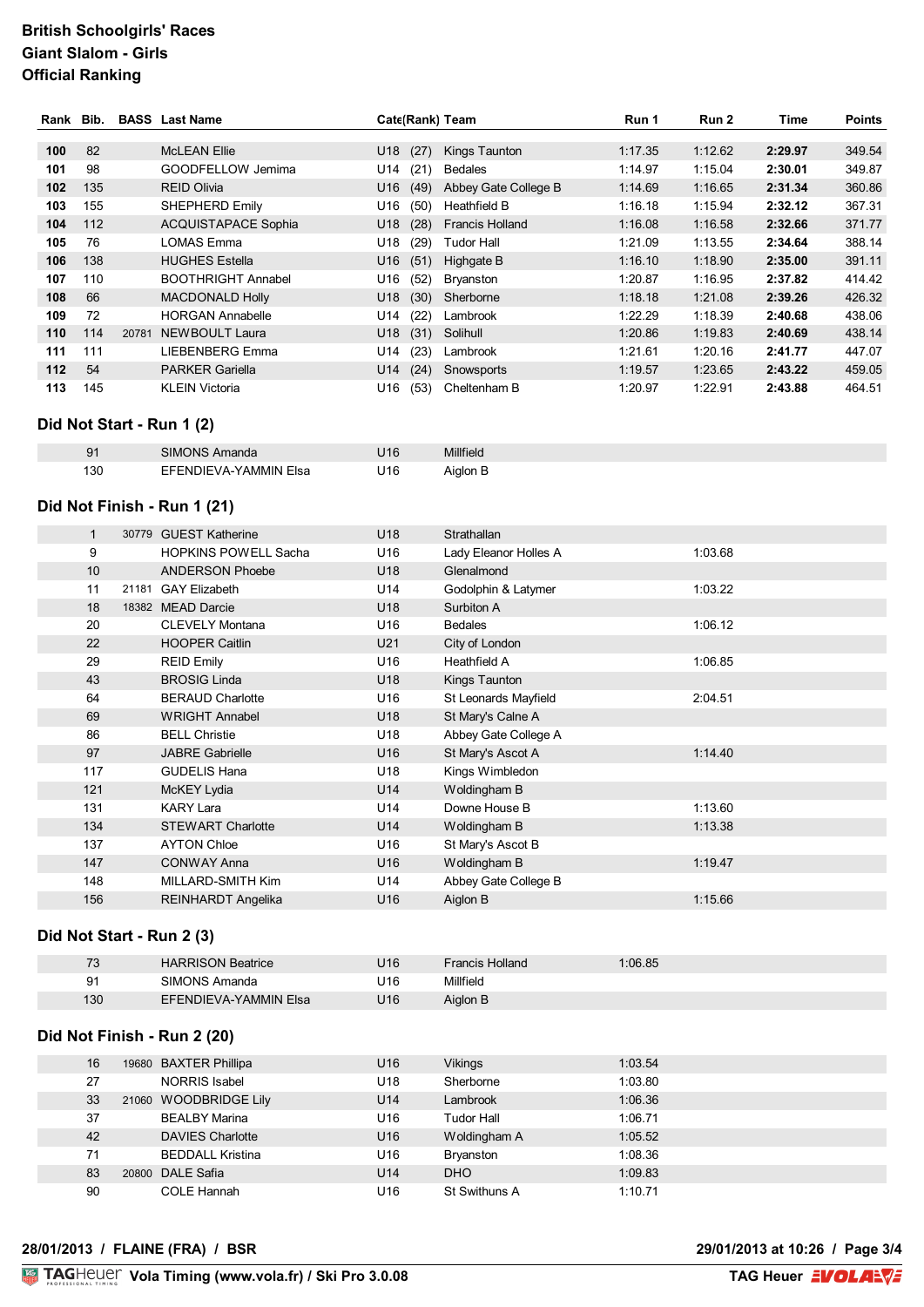| Rank Bib. |     |       | <b>BASS</b> Last Name      | Cate(Rank) Team |                        | Run 1   | Run 2   | Time    | <b>Points</b> |
|-----------|-----|-------|----------------------------|-----------------|------------------------|---------|---------|---------|---------------|
|           |     |       |                            |                 |                        |         |         |         |               |
| 100       | 82  |       | <b>McLEAN Ellie</b>        | (27)<br>U18     | Kings Taunton          | 1:17.35 | 1:12.62 | 2:29.97 | 349.54        |
| 101       | 98  |       | GOODFELLOW Jemima          | U14<br>(21)     | <b>Bedales</b>         | 1:14.97 | 1:15.04 | 2:30.01 | 349.87        |
| 102       | 135 |       | <b>REID Olivia</b>         | U16<br>(49)     | Abbey Gate College B   | 1:14.69 | 1:16.65 | 2:31.34 | 360.86        |
| 103       | 155 |       | <b>SHEPHERD Emily</b>      | U16<br>(50)     | Heathfield B           | 1:16.18 | 1:15.94 | 2:32.12 | 367.31        |
| 104       | 112 |       | <b>ACQUISTAPACE Sophia</b> | U18<br>(28)     | <b>Francis Holland</b> | 1:16.08 | 1:16.58 | 2:32.66 | 371.77        |
| 105       | 76  |       | LOMAS Emma                 | U18<br>(29)     | Tudor Hall             | 1:21.09 | 1:13.55 | 2:34.64 | 388.14        |
| 106       | 138 |       | <b>HUGHES Estella</b>      | U16<br>(51)     | Highgate B             | 1:16.10 | 1:18.90 | 2:35.00 | 391.11        |
| 107       | 110 |       | <b>BOOTHRIGHT Annabel</b>  | U16<br>(52)     | Bryanston              | 1:20.87 | 1:16.95 | 2:37.82 | 414.42        |
| 108       | 66  |       | <b>MACDONALD Holly</b>     | (30)<br>U18     | Sherborne              | 1:18.18 | 1:21.08 | 2:39.26 | 426.32        |
| 109       | 72  |       | <b>HORGAN Annabelle</b>    | U14<br>(22)     | Lambrook               | 1:22.29 | 1:18.39 | 2:40.68 | 438.06        |
| 110       | 114 | 20781 | NEWBOULT Laura             | U18<br>(31)     | Solihull               | 1:20.86 | 1:19.83 | 2:40.69 | 438.14        |
| 111       | 111 |       | LIEBENBERG Emma            | (23)<br>U14     | Lambrook               | 1:21.61 | 1:20.16 | 2:41.77 | 447.07        |
| $112$     | 54  |       | <b>PARKER Gariella</b>     | (24)<br>U14     | Snowsports             | 1:19.57 | 1:23.65 | 2:43.22 | 459.05        |
| 113       | 145 |       | <b>KLEIN Victoria</b>      | U16<br>(53)     | Cheltenham B           | 1:20.97 | 1:22.91 | 2:43.88 | 464.51        |

### **Did Not Start - Run 1 (2)**

| <u>ְ</u> َ ۾ | SIMONS Amanda         | U16 | Millfield |
|--------------|-----------------------|-----|-----------|
| 130          | EFENDIEVA-YAMMIN Elsa | U16 | Aiglon B  |

#### **Did Not Finish - Run 1 (21)**

| 1   | 30779 GUEST Katherine       | U <sub>18</sub> | Strathallan           |         |
|-----|-----------------------------|-----------------|-----------------------|---------|
| 9   | <b>HOPKINS POWELL Sacha</b> | U16             | Lady Eleanor Holles A | 1:03.68 |
| 10  | <b>ANDERSON Phoebe</b>      | U18             | Glenalmond            |         |
| 11  | 21181 GAY Elizabeth         | U14             | Godolphin & Latymer   | 1:03.22 |
| 18  | 18382 MEAD Darcie           | U <sub>18</sub> | Surbiton A            |         |
| 20  | <b>CLEVELY Montana</b>      | U16             | <b>Bedales</b>        | 1:06.12 |
| 22  | <b>HOOPER Caitlin</b>       | U21             | City of London        |         |
| 29  | <b>REID Emily</b>           | U16             | Heathfield A          | 1:06.85 |
| 43  | <b>BROSIG Linda</b>         | U18             | Kings Taunton         |         |
| 64  | <b>BERAUD Charlotte</b>     | U16             | St Leonards Mayfield  | 2:04.51 |
| 69  | <b>WRIGHT Annabel</b>       | U18             | St Mary's Calne A     |         |
| 86  | <b>BELL Christie</b>        | U18             | Abbey Gate College A  |         |
| 97  | <b>JABRE Gabrielle</b>      | U16             | St Mary's Ascot A     | 1:14.40 |
| 117 | <b>GUDELIS Hana</b>         | U18             | Kings Wimbledon       |         |
| 121 | McKEY Lydia                 | U14             | Woldingham B          |         |
| 131 | <b>KARY Lara</b>            | U14             | Downe House B         | 1:13.60 |
| 134 | <b>STEWART Charlotte</b>    | U14             | Woldingham B          | 1:13.38 |
| 137 | <b>AYTON Chloe</b>          | U16             | St Mary's Ascot B     |         |
| 147 | <b>CONWAY Anna</b>          | U16             | Woldingham B          | 1:19.47 |
| 148 | MILLARD-SMITH Kim           | U14             | Abbey Gate College B  |         |
| 156 | <b>REINHARDT Angelika</b>   | U16             | Aiglon B              | 1:15.66 |

#### **Did Not Start - Run 2 (3)**

| 72<br>ں ہ | <b>HARRISON Beatrice</b> | U16 | <b>Francis Holland</b> | 1:06.85 |
|-----------|--------------------------|-----|------------------------|---------|
|           |                          |     |                        |         |
| 91        | SIMONS Amanda            | U16 | Millfield              |         |
| 130       | EFENDIEVA-YAMMIN Elsa    | U16 | Aiglon B               |         |

### **Did Not Finish - Run 2 (20)**

| 16 | 19680 BAXTER Phillipa   | U <sub>16</sub> | Vikings          | 1:03.54 |
|----|-------------------------|-----------------|------------------|---------|
| 27 | NORRIS Isabel           | U <sub>18</sub> | Sherborne        | 1:03.80 |
| 33 | 21060 WOODBRIDGE Lily   | U14             | Lambrook         | 1:06.36 |
| 37 | <b>BEALBY Marina</b>    | U <sub>16</sub> | Tudor Hall       | 1:06.71 |
| 42 | <b>DAVIES Charlotte</b> | U <sub>16</sub> | Woldingham A     | 1:05.52 |
| 71 | <b>BEDDALL Kristina</b> | U <sub>16</sub> | <b>Bryanston</b> | 1:08.36 |
| 83 | 20800 DALE Safia        | U14             | <b>DHO</b>       | 1:09.83 |
| 90 | COLE Hannah             | U16             | St Swithuns A    | 1:10.71 |

### **28/01/2013 / FLAINE (FRA) / BSR 29/01/2013 at 10:26 / Page 3/4**